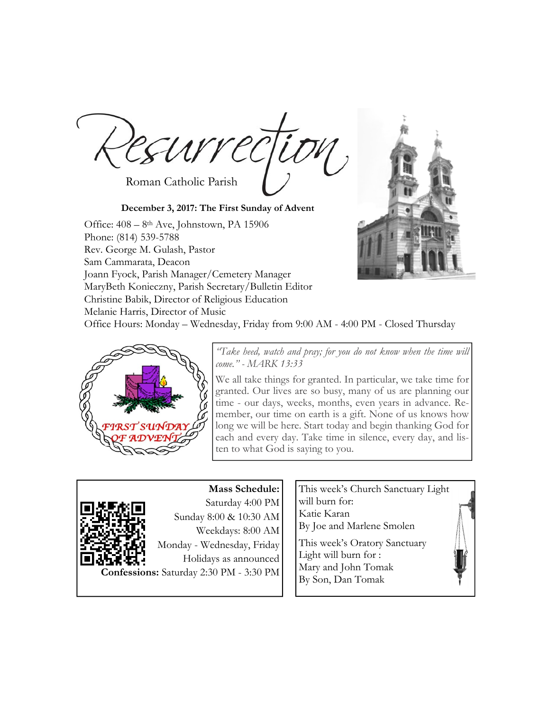EUVVE Roman Catholic Parish

**December 3, 2017: The First Sunday of Advent**  Office: 408 – 8th Ave, Johnstown, PA 15906 Phone: (814) 539-5788 Rev. George M. Gulash, Pastor Sam Cammarata, Deacon Joann Fyock, Parish Manager/Cemetery Manager MaryBeth Konieczny, Parish Secretary/Bulletin Editor Christine Babik, Director of Religious Education Melanie Harris, Director of Music



Office Hours: Monday – Wednesday, Friday from 9:00 AM - 4:00 PM - Closed Thursday



*"Take heed, watch and pray; for you do not know when the time will come." - MARK 13:33* 

We all take things for granted. In particular, we take time for granted. Our lives are so busy, many of us are planning our time - our days, weeks, months, even years in advance. Remember, our time on earth is a gift. None of us knows how long we will be here. Start today and begin thanking God for each and every day. Take time in silence, every day, and listen to what God is saying to you.



**Mass Schedule:**  Saturday 4:00 PM Sunday 8:00 & 10:30 AM Weekdays: 8:00 AM Monday - Wednesday, Friday Holidays as announced **Confessions:** Saturday 2:30 PM - 3:30 PM

This week's Church Sanctuary Light will burn for: Katie Karan By Joe and Marlene Smolen

This week's Oratory Sanctuary Light will burn for : Mary and John Tomak By Son, Dan Tomak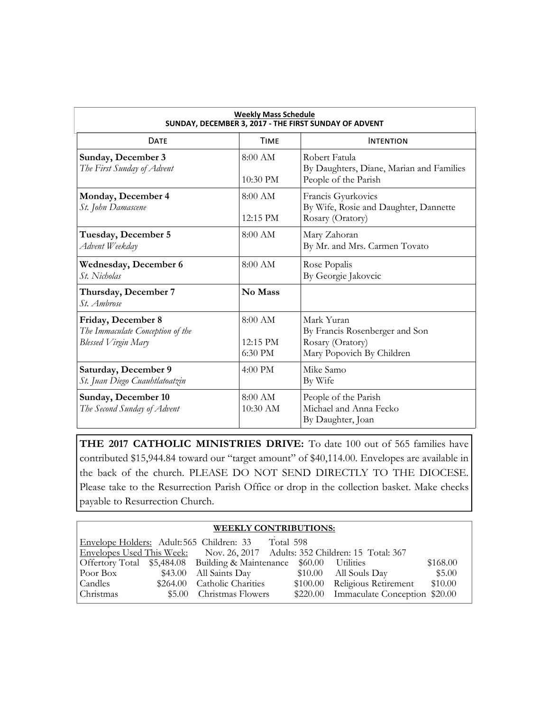| <b>Weekly Mass Schedule</b><br>SUNDAY, DECEMBER 3, 2017 - THE FIRST SUNDAY OF ADVENT |                                    |                                                                                               |  |  |  |
|--------------------------------------------------------------------------------------|------------------------------------|-----------------------------------------------------------------------------------------------|--|--|--|
| <b>DATF</b>                                                                          | <b>TIMF</b>                        | <b>INTENTION</b>                                                                              |  |  |  |
| Sunday, December 3<br>The First Sunday of Advent                                     | $8:00$ AM<br>$10:30$ PM            | Robert Fatula<br>By Daughters, Diane, Marian and Families<br>People of the Parish             |  |  |  |
| Monday, December 4<br>St. John Damascene                                             | $8:00$ AM<br>$12:15$ PM            | Francis Gyurkovics<br>By Wife, Rosie and Daughter, Dannette<br>Rosary (Oratory)               |  |  |  |
| Tuesday, December 5<br>Advent Weekday                                                | $8:00$ AM                          | Mary Zahoran<br>By Mr. and Mrs. Carmen Tovato                                                 |  |  |  |
| <b>Wednesday, December 6</b><br>St. Nicholas                                         | 8:00 AM                            | Rose Popalis<br>By Georgie Jakovcic                                                           |  |  |  |
| Thursday, December 7<br>St. Ambrose                                                  | No Mass                            |                                                                                               |  |  |  |
| Friday, December 8<br>The Immaculate Conception of the<br>Blessed Virgin Mary        | $8:00$ AM<br>$12:15$ PM<br>6:30 PM | Mark Yuran<br>By Francis Rosenberger and Son<br>Rosary (Oratory)<br>Mary Popovich By Children |  |  |  |
| Saturday, December 9<br>St. Juan Diego Cuauhtlatoatzin                               | $4:00 \text{ PM}$                  | Mike Samo<br>By Wife                                                                          |  |  |  |
| Sunday, December 10<br>The Second Sunday of Advent                                   | $8:00$ AM<br>10:30 AM              | People of the Parish<br>Michael and Anna Fecko<br>By Daughter, Joan                           |  |  |  |

**THE 2017 CATHOLIC MINISTRIES DRIVE:** To date 100 out of 565 families have contributed \$15,944.84 toward our "target amount" of \$40,114.00. Envelopes are available in the back of the church. PLEASE DO NOT SEND DIRECTLY TO THE DIOCESE. Please take to the Resurrection Parish Office or drop in the collection basket. Make checks payable to Resurrection Church.

### **WEEKLY CONTRIBUTIONS:**

| Envelope Holders: Adult:565 Children: 33 |                                                                             | Total 598 |                                        |          |
|------------------------------------------|-----------------------------------------------------------------------------|-----------|----------------------------------------|----------|
|                                          | Envelopes Used This Week: Nov. 26, 2017 Adults: 352 Children: 15 Total: 367 |           |                                        |          |
|                                          | Offertory Total \$5,484.08 Building & Maintenance \$60.00 Utilities         |           |                                        | \$168.00 |
| Poor Box                                 | \$43.00 All Saints Day                                                      |           | $$10.00$ All Souls Day                 | \$5.00   |
| Candles                                  | \$264.00 Catholic Charities                                                 |           | \$100.00 Religious Retirement          | \$10.00  |
| Christmas                                | \$5.00 Christmas Flowers                                                    |           | \$220.00 Immaculate Conception \$20.00 |          |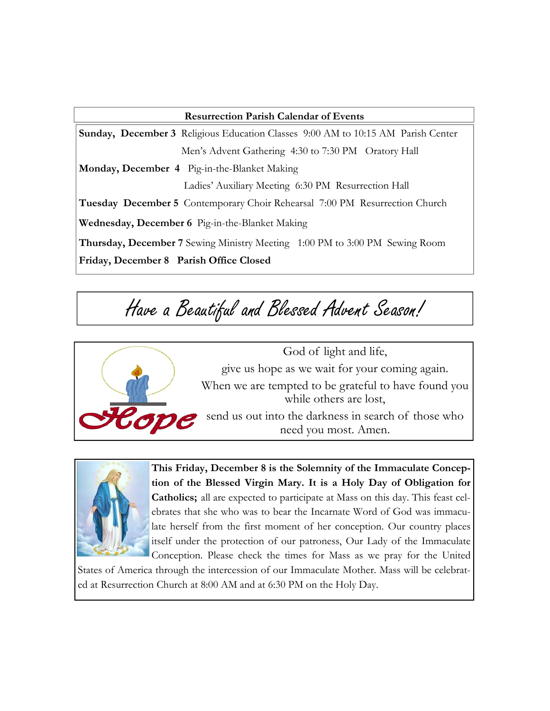| <b>Resurrection Parish Calendar of Events</b>                                           |  |  |  |
|-----------------------------------------------------------------------------------------|--|--|--|
| <b>Sunday, December 3</b> Religious Education Classes 9:00 AM to 10:15 AM Parish Center |  |  |  |
| Men's Advent Gathering 4:30 to 7:30 PM Oratory Hall                                     |  |  |  |
| Monday, December 4 Pig-in-the-Blanket Making                                            |  |  |  |
| Ladies' Auxiliary Meeting 6:30 PM Resurrection Hall                                     |  |  |  |
| <b>Tuesday December 5</b> Contemporary Choir Rehearsal 7:00 PM Resurrection Church      |  |  |  |
| Wednesday, December 6 Pig-in-the-Blanket Making                                         |  |  |  |
| Thursday, December 7 Sewing Ministry Meeting 1:00 PM to 3:00 PM Sewing Room             |  |  |  |
| Friday, December 8 Parish Office Closed                                                 |  |  |  |

# Have a Beautiful and Blessed Advent Season!



God of light and life, give us hope as we wait for your coming again. When we are tempted to be grateful to have found you while others are lost, send us out into the darkness in search of those who need you most. Amen.



**This Friday, December 8 is the Solemnity of the Immaculate Conception of the Blessed Virgin Mary. It is a Holy Day of Obligation for Catholics;** all are expected to participate at Mass on this day. This feast celebrates that she who was to bear the Incarnate Word of God was immaculate herself from the first moment of her conception. Our country places itself under the protection of our patroness, Our Lady of the Immaculate Conception. Please check the times for Mass as we pray for the United

States of America through the intercession of our Immaculate Mother. Mass will be celebrated at Resurrection Church at 8:00 AM and at 6:30 PM on the Holy Day.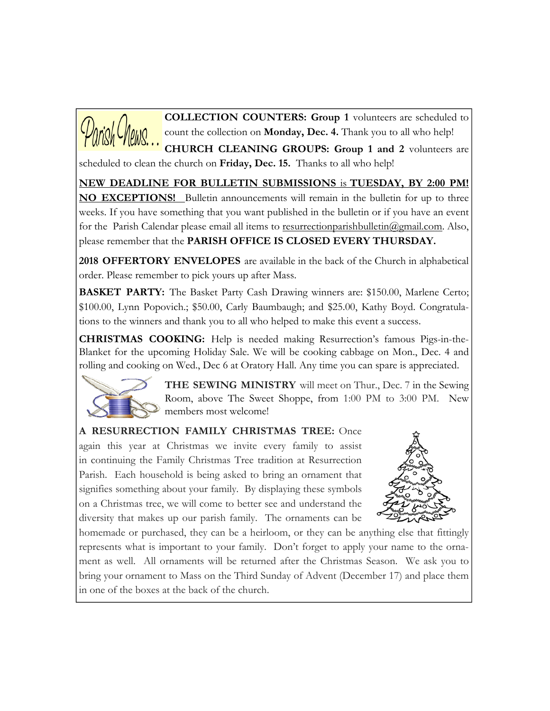

**COLLECTION COUNTERS: Group 1** volunteers are scheduled to count the collection on **Monday, Dec. 4.** Thank you to all who help!

**CHURCH CLEANING GROUPS: Group 1 and 2** volunteers are scheduled to clean the church on **Friday, Dec. 15.** Thanks to all who help!

**NEW DEADLINE FOR BULLETIN SUBMISSIONS** is **TUESDAY, BY 2:00 PM! NO EXCEPTIONS!** Bulletin announcements will remain in the bulletin for up to three weeks. If you have something that you want published in the bulletin or if you have an event for the Parish Calendar please email all items to resurrectionparishbulletin@gmail.com. Also, please remember that the **PARISH OFFICE IS CLOSED EVERY THURSDAY.** 

**2018 OFFERTORY ENVELOPES** are available in the back of the Church in alphabetical order. Please remember to pick yours up after Mass.

**BASKET PARTY:** The Basket Party Cash Drawing winners are: \$150.00, Marlene Certo; \$100.00, Lynn Popovich.; \$50.00, Carly Baumbaugh; and \$25.00, Kathy Boyd. Congratulations to the winners and thank you to all who helped to make this event a success.

**CHRISTMAS COOKING:** Help is needed making Resurrection's famous Pigs-in-the-Blanket for the upcoming Holiday Sale. We will be cooking cabbage on Mon., Dec. 4 and rolling and cooking on Wed., Dec 6 at Oratory Hall. Any time you can spare is appreciated.



**THE SEWING MINISTRY** will meet on Thur., Dec. 7 in the Sewing Room, above The Sweet Shoppe, from 1:00 PM to 3:00 PM. New members most welcome!

**A RESURRECTION FAMILY CHRISTMAS TREE:** Once again this year at Christmas we invite every family to assist in continuing the Family Christmas Tree tradition at Resurrection Parish. Each household is being asked to bring an ornament that signifies something about your family. By displaying these symbols on a Christmas tree, we will come to better see and understand the diversity that makes up our parish family. The ornaments can be



homemade or purchased, they can be a heirloom, or they can be anything else that fittingly represents what is important to your family. Don't forget to apply your name to the ornament as well. All ornaments will be returned after the Christmas Season. We ask you to bring your ornament to Mass on the Third Sunday of Advent (December 17) and place them in one of the boxes at the back of the church.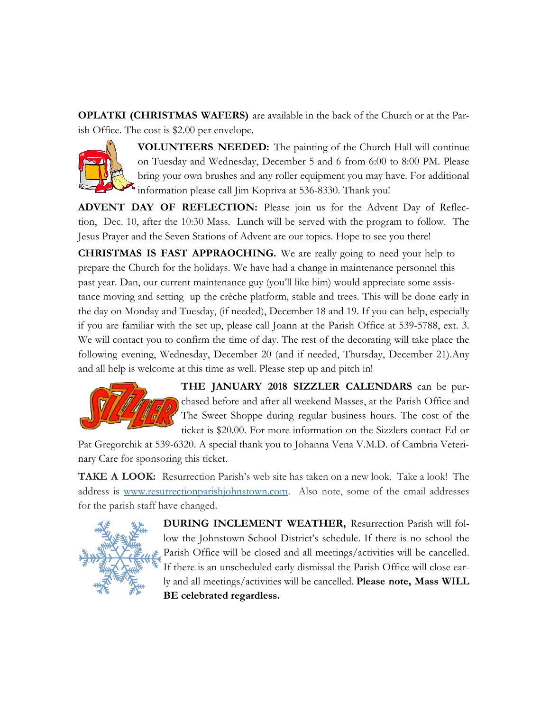**OPLATKI (CHRISTMAS WAFERS)** are available in the back of the Church or at the Parish Office. The cost is \$2.00 per envelope.



**VOLUNTEERS NEEDED:** The painting of the Church Hall will continue on Tuesday and Wednesday, December 5 and 6 from 6:00 to 8:00 PM. Please bring your own brushes and any roller equipment you may have. For additional information please call Jim Kopriva at 536-8330. Thank you!

**ADVENT DAY OF REFLECTION:** Please join us for the Advent Day of Reflection, Dec. 10, after the 10:30 Mass. Lunch will be served with the program to follow. The Jesus Prayer and the Seven Stations of Advent are our topics. Hope to see you there!

**CHRISTMAS IS FAST APPRAOCHING.** We are really going to need your help to prepare the Church for the holidays. We have had a change in maintenance personnel this past year. Dan, our current maintenance guy (you'll like him) would appreciate some assistance moving and setting up the crèche platform, stable and trees. This will be done early in the day on Monday and Tuesday, (if needed), December 18 and 19. If you can help, especially if you are familiar with the set up, please call Joann at the Parish Office at 539-5788, ext. 3. We will contact you to confirm the time of day. The rest of the decorating will take place the following evening, Wednesday, December 20 (and if needed, Thursday, December 21).Any and all help is welcome at this time as well. Please step up and pitch in!



**THE JANUARY 2018 SIZZLER CALENDARS** can be purchased before and after all weekend Masses, at the Parish Office and The Sweet Shoppe during regular business hours. The cost of the ticket is \$20.00. For more information on the Sizzlers contact Ed or

Pat Gregorchik at 539-6320. A special thank you to Johanna Vena V.M.D. of Cambria Veterinary Care for sponsoring this ticket.

**TAKE A LOOK:** Resurrection Parish's web site has taken on a new look. Take a look! The address is www.resurrectionparishjohnstown.com. Also note, some of the email addresses for the parish staff have changed.



**DURING INCLEMENT WEATHER,** Resurrection Parish will follow the Johnstown School District's schedule. If there is no school the Parish Office will be closed and all meetings/activities will be cancelled. If there is an unscheduled early dismissal the Parish Office will close early and all meetings/activities will be cancelled. **Please note, Mass WILL BE celebrated regardless.**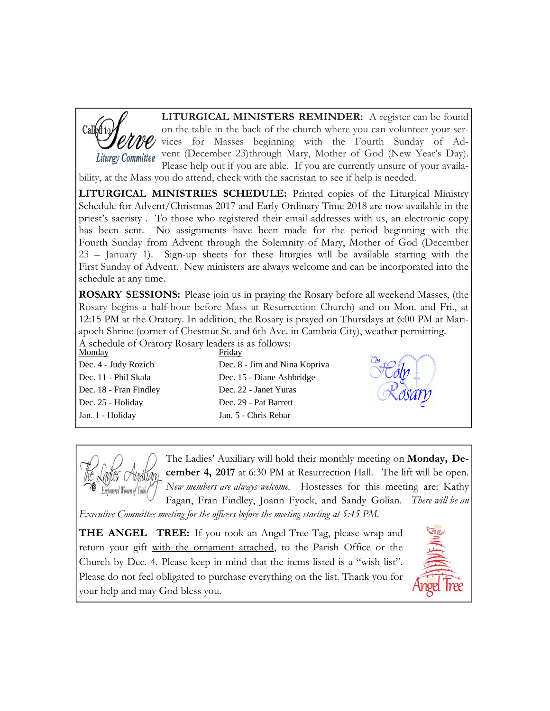

**LITURGICAL MINISTERS REMINDER:** A register can be found on the table in the back of the church where you can volunteer your services for Masses beginning with the Fourth Sunday of Ad-Liturgy Committee vent (December 23)through Mary, Mother of God (New Year's Day). Please help out if you are able. If you are currently unsure of your availa-

bility, at the Mass you do attend, check with the sacristan to see if help is needed.

**LITURGICAL MINISTRIES SCHEDULE:** Printed copies of the Liturgical Ministry Schedule for Advent/Christmas 2017 and Early Ordinary Time 2018 are now available in the priest's sacristy . To those who registered their email addresses with us, an electronic copy has been sent. No assignments have been made for the period beginning with the Fourth Sunday from Advent through the Solemnity of Mary, Mother of God (December 23 – January 1). Sign-up sheets for these liturgies will be available starting with the First Sunday of Advent. New ministers are always welcome and can be incorporated into the schedule at any time.

**ROSARY SESSIONS:** Please join us in praying the Rosary before all weekend Masses, (the Rosary begins a half-hour before Mass at Resurrection Church) and on Mon. and Fri., at 12:15 PM at the Oratory. In addition, the Rosary is prayed on Thursdays at 6:00 PM at Mariapoch Shrine (corner of Chestnut St. and 6th Ave. in Cambria City), weather permitting. A schedule of Oratory Rosary leaders is as follows:

Monday Friday Dec. 4 - Judy Rozich Dec. 8 - Jim and Nina Kopriva

Dec. 25 - Holiday Dec. 29 - Pat Barrett Jan. 1 - Holiday Jan. 5 - Chris Rebar

Dec. 11 - Phil Skala Dec. 15 - Diane Ashbridge Dec. 18 - Fran Findley Dec. 22 - Janet Yuras





The Ladies' Auxiliary will hold their monthly meeting on **Monday, December 4, 2017** at 6:30 PM at Resurrection Hall. The lift will be open. *New members are always welcome.* Hostesses for this meeting are: Kathy Fagan, Fran Findley, Joann Fyock, and Sandy Golian. *There will be an* 

*Executive Committee meeting for the officers before the meeting starting at 5:45 PM.*

**THE ANGEL TREE:** If you took an Angel Tree Tag, please wrap and return your gift with the ornament attached, to the Parish Office or the Church by Dec. 4. Please keep in mind that the items listed is a "wish list". Please do not feel obligated to purchase everything on the list. Thank you for your help and may God bless you.

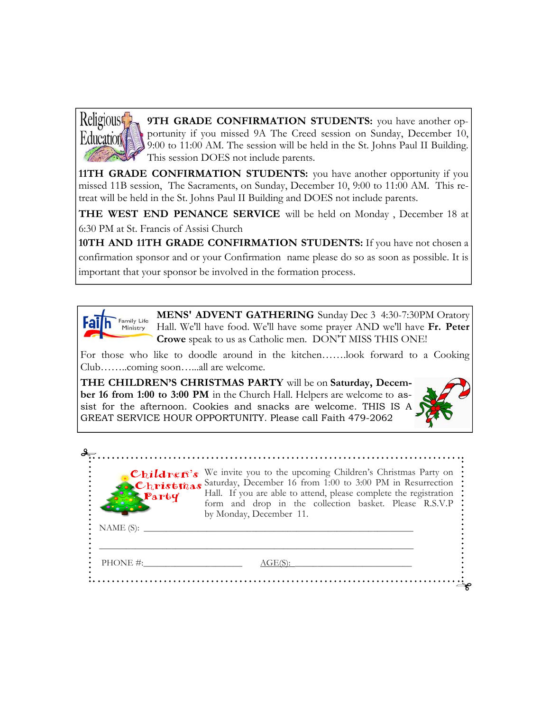

**9TH GRADE CONFIRMATION STUDENTS:** you have another opportunity if you missed 9A The Creed session on Sunday, December 10, 9:00 to 11:00 AM. The session will be held in the St. Johns Paul II Building. This session DOES not include parents.

**11TH GRADE CONFIRMATION STUDENTS:** you have another opportunity if you missed 11B session, The Sacraments, on Sunday, December 10, 9:00 to 11:00 AM. This retreat will be held in the St. Johns Paul II Building and DOES not include parents.

**THE WEST END PENANCE SERVICE** will be held on Monday , December 18 at 6:30 PM at St. Francis of Assisi Church

**10TH AND 11TH GRADE CONFIRMATION STUDENTS:** If you have not chosen a confirmation sponsor and or your Confirmation name please do so as soon as possible. It is important that your sponsor be involved in the formation process.



**MENS' ADVENT GATHERING** Sunday Dec 3 4:30-7:30PM Oratory Hall. We'll have food. We'll have some prayer AND we'll have **Fr. Peter Crowe** speak to us as Catholic men. DON'T MISS THIS ONE!

For those who like to doodle around in the kitchen…….look forward to a Cooking Club……..coming soon…...all are welcome.

**THE CHILDREN'S CHRISTMAS PARTY** will be on **Saturday, December 16 from 1:00 to 3:00 PM** in the Church Hall. Helpers are welcome to assist for the afternoon. Cookies and snacks are welcome. THIS IS A GREAT SERVICE HOUR OPPORTUNITY. Please call Faith 479-2062



|                 | Children's We invite you to the upcoming Children's Christmas Party on<br>Christmas Saturday, December 16 from 1:00 to 3:00 PM in Resurrection<br>Party Hall. If you are able to attend, please complete the registration<br>form and drop in the collection basket. Please R.S.V.P<br>by Monday, December 11. |
|-----------------|----------------------------------------------------------------------------------------------------------------------------------------------------------------------------------------------------------------------------------------------------------------------------------------------------------------|
| NAME $(S)$ : __ |                                                                                                                                                                                                                                                                                                                |
| $PHONE \#$      | AGE(S):                                                                                                                                                                                                                                                                                                        |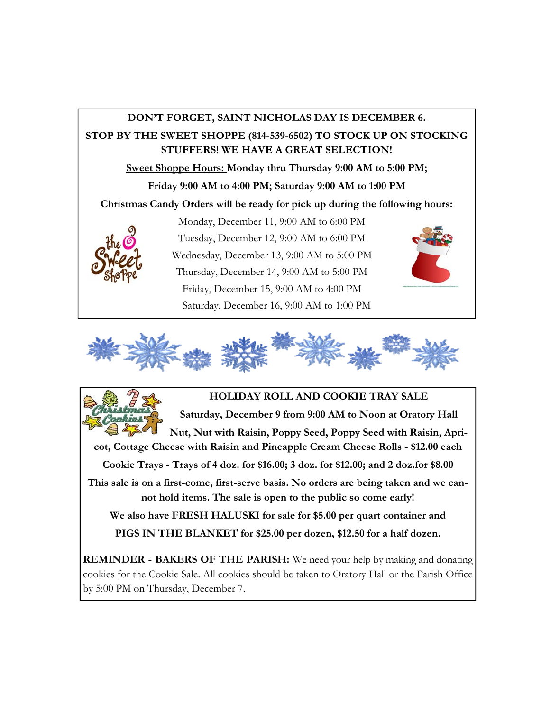## **DON'T FORGET, SAINT NICHOLAS DAY IS DECEMBER 6. STOP BY THE SWEET SHOPPE (814-539-6502) TO STOCK UP ON STOCKING STUFFERS! WE HAVE A GREAT SELECTION! Sweet Shoppe Hours: Monday thru Thursday 9:00 AM to 5:00 PM; Friday 9:00 AM to 4:00 PM; Saturday 9:00 AM to 1:00 PM Christmas Candy Orders will be ready for pick up during the following hours:**  Monday, December 11, 9:00 AM to 6:00 PM Tuesday, December 12, 9:00 AM to 6:00 PM Wednesday, December 13, 9:00 AM to 5:00 PM Thursday, December 14, 9:00 AM to 5:00 PM Friday, December 15, 9:00 AM to 4:00 PM Saturday, December 16, 9:00 AM to 1:00 PM





**Saturday, December 9 from 9:00 AM to Noon at Oratory Hall** 

**Nut, Nut with Raisin, Poppy Seed, Poppy Seed with Raisin, Apricot, Cottage Cheese with Raisin and Pineapple Cream Cheese Rolls - \$12.00 each** 

**Cookie Trays - Trays of 4 doz. for \$16.00; 3 doz. for \$12.00; and 2 doz.for \$8.00** 

**This sale is on a first-come, first-serve basis. No orders are being taken and we cannot hold items. The sale is open to the public so come early!** 

**We also have FRESH HALUSKI for sale for \$5.00 per quart container and PIGS IN THE BLANKET for \$25.00 per dozen, \$12.50 for a half dozen.**

**REMINDER - BAKERS OF THE PARISH:** We need your help by making and donating cookies for the Cookie Sale. All cookies should be taken to Oratory Hall or the Parish Office by 5:00 PM on Thursday, December 7.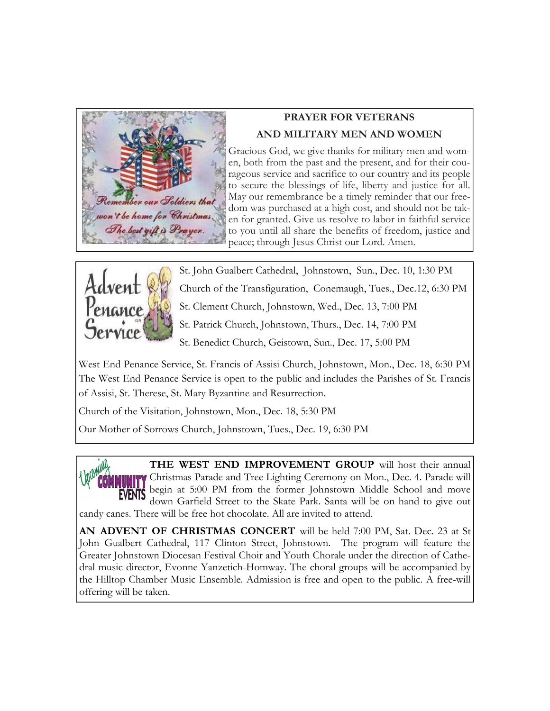

## **PRAYER FOR VETERANS AND MILITARY MEN AND WOMEN**

Gracious God, we give thanks for military men and women, both from the past and the present, and for their courageous service and sacrifice to our country and its people to secure the blessings of life, liberty and justice for all. May our remembrance be a timely reminder that our freedom was purchased at a high cost, and should not be taken for granted. Give us resolve to labor in faithful service to you until all share the benefits of freedom, justice and peace; through Jesus Christ our Lord. Amen.



St. John Gualbert Cathedral, Johnstown, Sun., Dec. 10, 1:30 PM

Church of the Transfiguration, Conemaugh, Tues., Dec.12, 6:30 PM

St. Clement Church, Johnstown, Wed., Dec. 13, 7:00 PM

St. Patrick Church, Johnstown, Thurs., Dec. 14, 7:00 PM

St. Benedict Church, Geistown, Sun., Dec. 17, 5:00 PM

West End Penance Service, St. Francis of Assisi Church, Johnstown, Mon., Dec. 18, 6:30 PM The West End Penance Service is open to the public and includes the Parishes of St. Francis of Assisi, St. Therese, St. Mary Byzantine and Resurrection.

Church of the Visitation, Johnstown, Mon., Dec. 18, 5:30 PM

Our Mother of Sorrows Church, Johnstown, Tues., Dec. 19, 6:30 PM



**THE WEST END IMPROVEMENT GROUP** will host their annual Christmas Parade and Tree Lighting Ceremony on Mon., Dec. 4. Parade will begin at 5:00 PM from the former Johnstown Middle School and move down Garfield Street to the Skate Park. Santa will be on hand to give out

candy canes. There will be free hot chocolate. All are invited to attend.

**AN ADVENT OF CHRISTMAS CONCERT** will be held 7:00 PM, Sat. Dec. 23 at St John Gualbert Cathedral, 117 Clinton Street, Johnstown. The program will feature the Greater Johnstown Diocesan Festival Choir and Youth Chorale under the direction of Cathedral music director, Evonne Yanzetich-Homway. The choral groups will be accompanied by the Hilltop Chamber Music Ensemble. Admission is free and open to the public. A free-will offering will be taken.